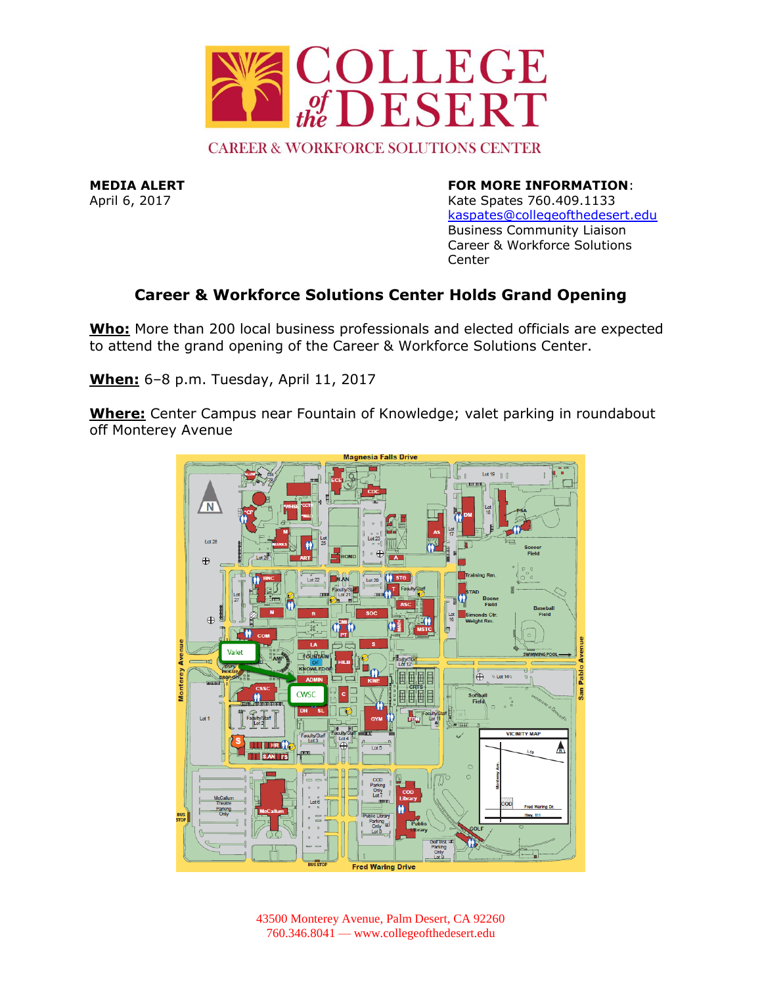

**CAREER & WORKFORCE SOLUTIONS CENTER** 

**MEDIA ALERT FOR MORE INFORMATION**:

April 6, 2017 **Kate Spates 760.409.1133** [kaspates@collegeofthedesert.edu](mailto:kaspates@collegeofthedesert.edu) Business Community Liaison Career & Workforce Solutions **Center** 

## **Career & Workforce Solutions Center Holds Grand Opening**

**Who:** More than 200 local business professionals and elected officials are expected to attend the grand opening of the Career & Workforce Solutions Center.

**When:** 6–8 p.m. Tuesday, April 11, 2017

**Where:** Center Campus near Fountain of Knowledge; valet parking in roundabout off Monterey Avenue



43500 Monterey Avenue, Palm Desert, CA 92260 760.346.8041 — www.collegeofthedesert.edu